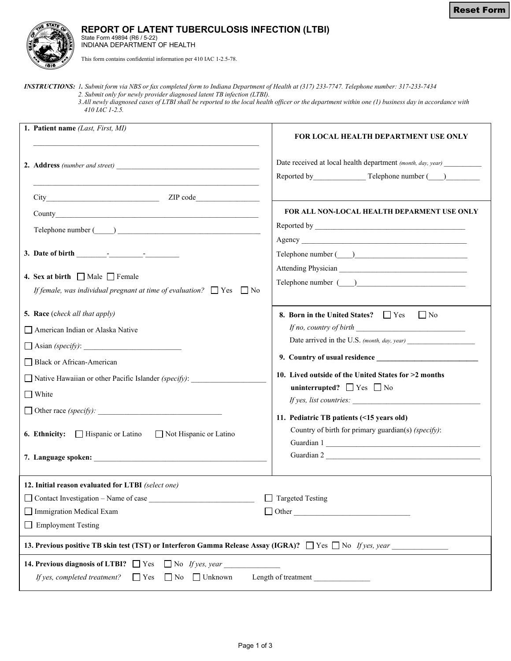

## **REPORT OF LATENT TUBERCULOSIS INFECTION (LTBI)**

State Form 49894 (R6 / 5-22) INDIANA DEPARTMENT OF HEALTH

This form contains confidential information per 410 IAC 1-2.5-78.

*INSTRUCTIONS: 1. Submit form via NBS or fax completed form to Indiana Department of Health at (317) 233-7747. Telephone number: 317-233-7434 2. Submit only for newly provider diagnosed latent TB infection (LTBI).* 

 *3.All newly diagnosed cases of LTBI shall be reported to the local health officer or the department within one (1) business day in accordance with 410 IAC 1-2.5.*

|                                                                                                                                                                    | 1. Patient name (Last, First, MI)                                                                                           | FOR LOCAL HEALTH DEPARTMENT USE ONLY                                                                                         |  |  |
|--------------------------------------------------------------------------------------------------------------------------------------------------------------------|-----------------------------------------------------------------------------------------------------------------------------|------------------------------------------------------------------------------------------------------------------------------|--|--|
|                                                                                                                                                                    |                                                                                                                             | Date received at local health department (month, day, year) _____________________<br>Reported by Telephone number (2008)     |  |  |
|                                                                                                                                                                    |                                                                                                                             |                                                                                                                              |  |  |
|                                                                                                                                                                    |                                                                                                                             | FOR ALL NON-LOCAL HEALTH DEPARMENT USE ONLY                                                                                  |  |  |
|                                                                                                                                                                    |                                                                                                                             |                                                                                                                              |  |  |
|                                                                                                                                                                    |                                                                                                                             | Telephone number ( )                                                                                                         |  |  |
|                                                                                                                                                                    | 4. Sex at birth $\Box$ Male $\Box$ Female<br>If female, was individual pregnant at time of evaluation? $\Box$ Yes $\Box$ No | Telephone number ( )                                                                                                         |  |  |
|                                                                                                                                                                    | 5. Race (check all that apply)                                                                                              | 8. Born in the United States? $\Box$ Yes<br>$\Box$ No                                                                        |  |  |
|                                                                                                                                                                    | American Indian or Alaska Native                                                                                            | If no, country of birth $\qquad$                                                                                             |  |  |
|                                                                                                                                                                    |                                                                                                                             |                                                                                                                              |  |  |
|                                                                                                                                                                    | □ Black or African-American                                                                                                 |                                                                                                                              |  |  |
|                                                                                                                                                                    | $\Box$ Native Hawaiian or other Pacific Islander (specify):                                                                 | 10. Lived outside of the United States for >2 months                                                                         |  |  |
|                                                                                                                                                                    | $\Box$ White                                                                                                                | uninterrupted? $\Box$ Yes $\Box$ No                                                                                          |  |  |
|                                                                                                                                                                    |                                                                                                                             | <i>If yes, list countries:</i>                                                                                               |  |  |
|                                                                                                                                                                    | Hispanic or Latino<br>6. Ethnicity:<br>Not Hispanic or Latino                                                               | 11. Pediatric TB patients (<15 years old)<br>Country of birth for primary guardian(s) (specify):<br>Guardian 1<br>Guardian 2 |  |  |
| 12. Initial reason evaluated for LTBI (select one)                                                                                                                 |                                                                                                                             |                                                                                                                              |  |  |
|                                                                                                                                                                    | $\Box$ Targeted Testing<br>Contact Investigation - Name of case<br>Immigration Medical Exam                                 |                                                                                                                              |  |  |
| $\Box$ Other<br>Employment Testing                                                                                                                                 |                                                                                                                             |                                                                                                                              |  |  |
|                                                                                                                                                                    |                                                                                                                             |                                                                                                                              |  |  |
| 13. Previous positive TB skin test (TST) or Interferon Gamma Release Assay (IGRA)? $\Box$ Yes $\Box$ No If yes, year                                               |                                                                                                                             |                                                                                                                              |  |  |
| 14. Previous diagnosis of LTBI? $\Box$ Yes $\Box$ No If yes, year<br>If yes, completed treatment?<br>$\Box$ No $\Box$ Unknown<br>Length of treatment<br>$\Box$ Yes |                                                                                                                             |                                                                                                                              |  |  |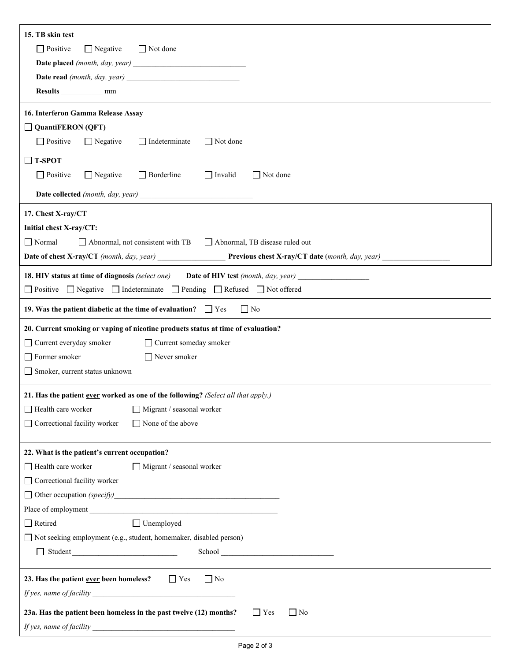| 15. TB skin test                                                                                        |  |  |  |  |
|---------------------------------------------------------------------------------------------------------|--|--|--|--|
| $\Box$ Negative<br>Not done<br>$\Box$ Positive                                                          |  |  |  |  |
|                                                                                                         |  |  |  |  |
|                                                                                                         |  |  |  |  |
|                                                                                                         |  |  |  |  |
| 16. Interferon Gamma Release Assay                                                                      |  |  |  |  |
| $\Box$ QuantiFERON (QFT)                                                                                |  |  |  |  |
| $\Box$ Positive<br>$\Box$ Negative<br>$\Box$ Indeterminate<br>$\Box$ Not done                           |  |  |  |  |
|                                                                                                         |  |  |  |  |
| $\Box$ T-SPOT                                                                                           |  |  |  |  |
| $\Box$ Positive<br>$\Box$ Negative<br>$\Box$ Borderline<br>$\Box$ Invalid<br>$\Box$ Not done            |  |  |  |  |
|                                                                                                         |  |  |  |  |
| 17. Chest X-ray/CT                                                                                      |  |  |  |  |
| Initial chest X-ray/CT:                                                                                 |  |  |  |  |
| $\Box$ Normal<br>Abnormal, not consistent with TB Abnormal, TB disease ruled out                        |  |  |  |  |
| <b>Date of chest X-ray/CT</b> (month, day, year) <b>Previous chest X-ray/CT</b> date (month, day, year) |  |  |  |  |
| <b>18. HIV status at time of diagnosis</b> (select one) <b>Date of HIV test</b> (month, day, year)      |  |  |  |  |
| □ Positive □ Negative □ Indeterminate □ Pending □ Refused □ Not offered                                 |  |  |  |  |
| $\Box$ No<br>19. Was the patient diabetic at the time of evaluation? $\Box$ Yes                         |  |  |  |  |
| 20. Current smoking or vaping of nicotine products status at time of evaluation?                        |  |  |  |  |
| $\Box$ Current everyday smoker<br>□ Current someday smoker                                              |  |  |  |  |
| Former smoker<br>$\Box$ Never smoker                                                                    |  |  |  |  |
| Smoker, current status unknown                                                                          |  |  |  |  |
| 21. Has the patient ever worked as one of the following? (Select all that apply.)                       |  |  |  |  |
| Health care worker<br>Migrant / seasonal worker                                                         |  |  |  |  |
| Correctional facility worker<br>□ None of the above                                                     |  |  |  |  |
|                                                                                                         |  |  |  |  |
| 22. What is the patient's current occupation?                                                           |  |  |  |  |
| Health care worker<br>$\Box$ Migrant / seasonal worker                                                  |  |  |  |  |
| Correctional facility worker                                                                            |  |  |  |  |
|                                                                                                         |  |  |  |  |
| Place of employment                                                                                     |  |  |  |  |
| $\Box$ Unemployed<br>Retired                                                                            |  |  |  |  |
| □ Not seeking employment (e.g., student, homemaker, disabled person)                                    |  |  |  |  |
|                                                                                                         |  |  |  |  |
| 23. Has the patient ever been homeless?<br>$\Gamma$ Yes<br>$\Box$ No                                    |  |  |  |  |
|                                                                                                         |  |  |  |  |
| 23a. Has the patient been homeless in the past twelve (12) months?<br>$\Box$ No<br>$\Box$ Yes           |  |  |  |  |
|                                                                                                         |  |  |  |  |